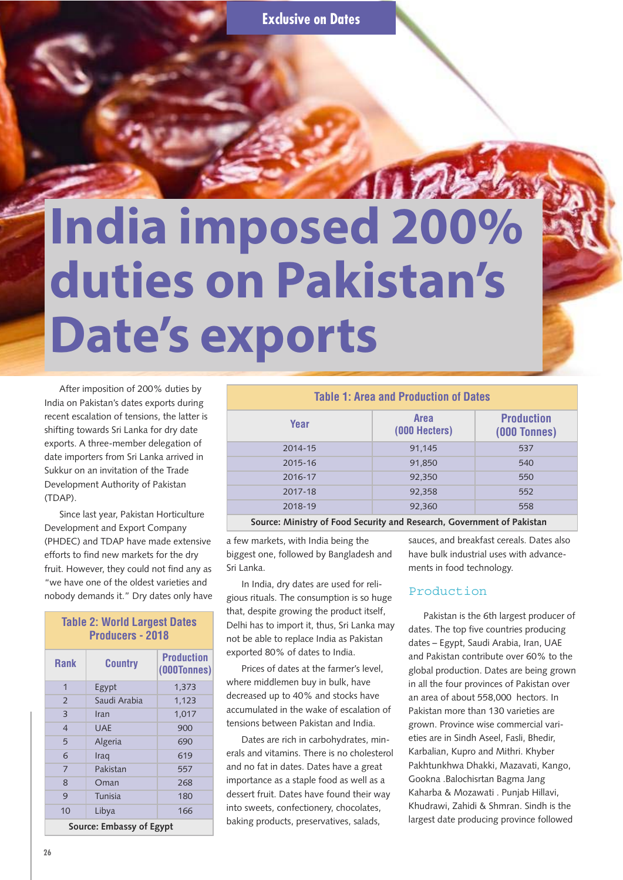# **India imposed 200% duties on Pakistan's Date's exports**

After imposition of 200% duties by India on Pakistan's dates exports during recent escalation of tensions, the latter is shifting towards Sri Lanka for dry date exports. A three-member delegation of date importers from Sri Lanka arrived in Sukkur on an invitation of the Trade Development Authority of Pakistan (TDAP).

Since last year, Pakistan Horticulture Development and Export Company (PHDEC) and TDAP have made extensive efforts to find new markets for the dry fruit. However, they could not find any as "we have one of the oldest varieties and nobody demands it." Dry dates only have

| <b>Table 2: World Largest Dates</b><br><b>Producers - 2018</b> |                |                                  |  |  |
|----------------------------------------------------------------|----------------|----------------------------------|--|--|
| <b>Rank</b>                                                    | <b>Country</b> | <b>Production</b><br>(000Tonnes) |  |  |
| 1                                                              | Egypt          | 1,373                            |  |  |
| $\overline{2}$                                                 | Saudi Arabia   | 1,123                            |  |  |
| 3                                                              | Iran           | 1,017                            |  |  |
| $\overline{4}$                                                 | UAF            | 900                              |  |  |
| 5                                                              | Algeria        | 690                              |  |  |
| 6                                                              | Iraq           | 619                              |  |  |
| 7                                                              | Pakistan       | 557                              |  |  |
| 8                                                              | Oman           | 268                              |  |  |
| 9                                                              | Tunisia        | 180                              |  |  |
| 10                                                             | Libya          | 166                              |  |  |
| Source: Embassy of Egypt                                       |                |                                  |  |  |

**Table 1: Area and Production of Dates Year Area**<br> **Area Area (000 Hecters) Production (000 Tonnes)** 2014-15 91,145 537 2015-16 91,850 540 2016-17 92,350 550 2017-18 92,358 552 2018-19 92,360 558

**Source: Ministry of Food Security and Research, Government of Pakistan**

a few markets, with India being the biggest one, followed by Bangladesh and Sri Lanka.

In India, dry dates are used for religious rituals. The consumption is so huge that, despite growing the product itself, Delhi has to import it, thus, Sri Lanka may not be able to replace India as Pakistan exported 80% of dates to India.

Prices of dates at the farmer's level, where middlemen buy in bulk, have decreased up to 40% and stocks have accumulated in the wake of escalation of tensions between Pakistan and India.

Dates are rich in carbohydrates, minerals and vitamins. There is no cholesterol and no fat in dates. Dates have a great importance as a staple food as well as a dessert fruit. Dates have found their way into sweets, confectionery, chocolates, baking products, preservatives, salads,

sauces, and breakfast cereals. Dates also have bulk industrial uses with advancements in food technology.

#### Production

Pakistan is the 6th largest producer of dates. The top five countries producing dates – Egypt, Saudi Arabia, Iran, UAE and Pakistan contribute over 60% to the global production. Dates are being grown in all the four provinces of Pakistan over an area of about 558,000 hectors. In Pakistan more than 130 varieties are grown. Province wise commercial varieties are in Sindh Aseel, Fasli, Bhedir, Karbalian, Kupro and Mithri. Khyber Pakhtunkhwa Dhakki, Mazavati, Kango, Gookna .Balochisrtan Bagma Jang Kaharba & Mozawati . Punjab Hillavi, Khudrawi, Zahidi & Shmran. Sindh is the largest date producing province followed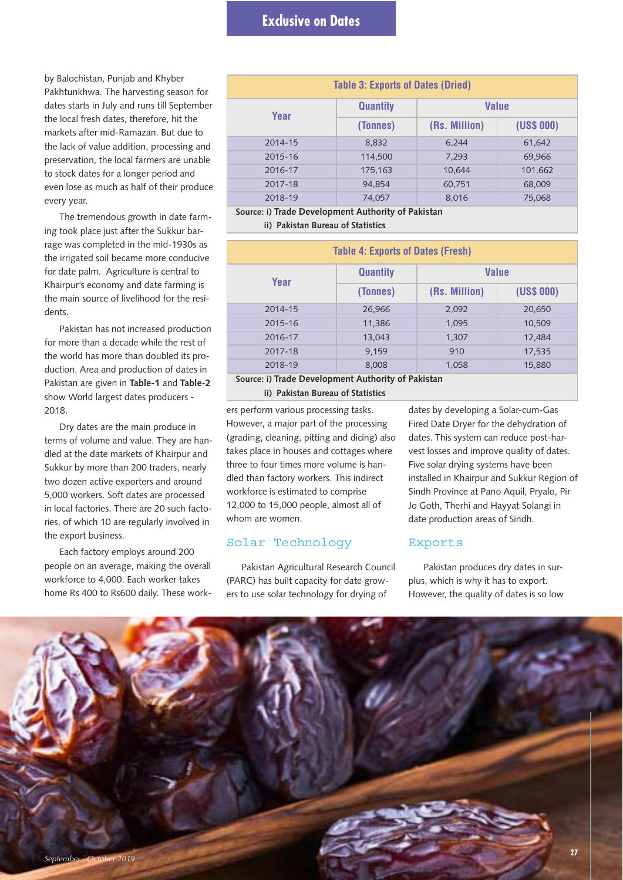# **Exclusive on Dates**

by Balochistan, Punjab and Khyber Pakhtunkhwa. The harvesting season for dates starts in July and runs till September the local fresh dates, therefore, hit the markets after mid-Ramazan. But due to the lack of value addition, processing and preservation, the local farmers are unable to stock dates for a longer period and even lose as much as half of their produce every year.

The tremendous growth in date farming took place just after the Sukkur barrage was completed in the mid-1930s as the irrigated soil became more conducive for date palm. Agriculture is central to Khairpur's economy and date farming is the main source of livelihood for the residents.

Pakistan has not increased production for more than a decade while the rest of the world has more than doubled its production. Area and production of dates in Pakistan are given in **Table-1** and **Table-2** show World largest dates producers - 2018.

Dry dates are the main produce in terms of volume and value. They are handled at the date markets of Khairpur and Sukkur by more than 200 traders, nearly two dozen active exporters and around 5,000 workers. Soft dates are processed in local factories. There are 20 such factories, of which 10 are regularly involved in the export business.

Each factory employs around 200 people on an average, making the overall workforce to 4,000. Each worker takes home Rs 400 to Rs600 daily. These work-

| <b>Table 3: Exports of Dates (Dried)</b>             |                 |               |            |  |  |
|------------------------------------------------------|-----------------|---------------|------------|--|--|
| Year                                                 | <b>Quantity</b> | <b>Value</b>  |            |  |  |
|                                                      | (Tonnes)        | (Rs. Million) | (US\$ 000) |  |  |
| 2014-15                                              | 8,832           | 6,244         | 61,642     |  |  |
| 2015-16                                              | 114,500         | 7,293         | 69,966     |  |  |
| 2016-17                                              | 175,163         | 10,644        | 101,662    |  |  |
| 2017-18                                              | 94,854          | 60,751        | 68,009     |  |  |
| 2018-19                                              | 74,057          | 8,016         | 75,068     |  |  |
| Connect Without Davidson and Authority of Delitation |                 |               |            |  |  |

**Source: i) Trade Development Authority of Pakistan**

**ii) Pakistan Bureau of Statistics**

| <b>Table 4: Exports of Dates (Fresh)</b> |                 |               |            |  |  |
|------------------------------------------|-----------------|---------------|------------|--|--|
| Year                                     | <b>Quantity</b> | <b>Value</b>  |            |  |  |
|                                          | (Tonnes)        | (Rs. Million) | (US\$ 000) |  |  |
| 2014-15                                  | 26,966          | 2,092         | 20,650     |  |  |
| 2015-16                                  | 11,386          | 1,095         | 10,509     |  |  |
| 2016-17                                  | 13,043          | 1,307         | 12,484     |  |  |
| 2017-18                                  | 9.159           | 910           | 17,535     |  |  |
| 2018-19                                  | 8,008           | 1,058         | 15,880     |  |  |
|                                          |                 |               |            |  |  |

**Source: i) Trade Development Authority of Pakistan**

**ii) Pakistan Bureau of Statistics**

ers perform various processing tasks. However, a major part of the processing (grading, cleaning, pitting and dicing) also takes place in houses and cottages where three to four times more volume is handled than factory workers. This indirect workforce is estimated to comprise 12,000 to 15,000 people, almost all of whom are women.

## Solar Technology

Pakistan Agricultural Research Council (PARC) has built capacity for date growers to use solar technology for drying of

dates by developing a Solar-cum-Gas Fired Date Dryer for the dehydration of dates. This system can reduce post-harvest losses and improve quality of dates. Five solar drying systems have been installed in Khairpur and Sukkur Region of Sindh Province at Pano Aquil, Pryalo, Pir Jo Goth, Therhi and Hayyat Solangi in date production areas of Sindh.

#### Exports

Pakistan produces dry dates in surplus, which is why it has to export. However, the quality of dates is so low